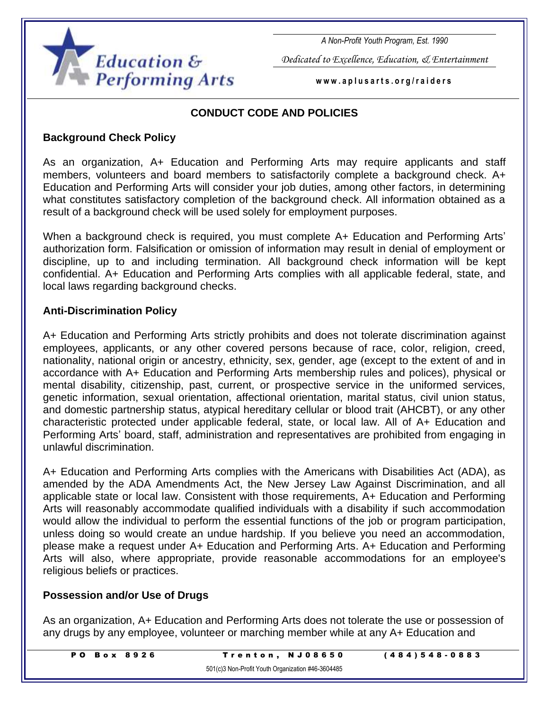

*A Non-Profit Youth Program, Est. 1990*

*Dedicated to Excellence, Education, & Entertainment*

**w w w . a p l u s a r t s . o r g / r a i d e r s**

# **CONDUCT CODE AND POLICIES**

#### **Background Check Policy**

As an organization, A+ Education and Performing Arts may require applicants and staff members, volunteers and board members to satisfactorily complete a background check. A+ Education and Performing Arts will consider your job duties, among other factors, in determining what constitutes satisfactory completion of the background check. All information obtained as a result of a background check will be used solely for employment purposes.

When a background check is required, you must complete A+ Education and Performing Arts' authorization form. Falsification or omission of information may result in denial of employment or discipline, up to and including termination. All background check information will be kept confidential. A+ Education and Performing Arts complies with all applicable federal, state, and local laws regarding background checks.

### **Anti-Discrimination Policy**

A+ Education and Performing Arts strictly prohibits and does not tolerate discrimination against employees, applicants, or any other covered persons because of race, color, religion, creed, nationality, national origin or ancestry, ethnicity, sex, gender, age (except to the extent of and in accordance with A+ Education and Performing Arts membership rules and polices), physical or mental disability, citizenship, past, current, or prospective service in the uniformed services, genetic information, sexual orientation, affectional orientation, marital status, civil union status, and domestic partnership status, atypical hereditary cellular or blood trait (AHCBT), or any other characteristic protected under applicable federal, state, or local law. All of A+ Education and Performing Arts' board, staff, administration and representatives are prohibited from engaging in unlawful discrimination.

A+ Education and Performing Arts complies with the Americans with Disabilities Act (ADA), as amended by the ADA Amendments Act, the New Jersey Law Against Discrimination, and all applicable state or local law. Consistent with those requirements, A+ Education and Performing Arts will reasonably accommodate qualified individuals with a disability if such accommodation would allow the individual to perform the essential functions of the job or program participation, unless doing so would create an undue hardship. If you believe you need an accommodation, please make a request under A+ Education and Performing Arts. A+ Education and Performing Arts will also, where appropriate, provide reasonable accommodations for an employee's religious beliefs or practices.

# **Possession and/or Use of Drugs**

As an organization, A+ Education and Performing Arts does not tolerate the use or possession of any drugs by any employee, volunteer or marching member while at any A+ Education and

| <b>PO Box 8926</b> | Trenton, NJ08650                                  | $(484)548 - 0883$ |
|--------------------|---------------------------------------------------|-------------------|
|                    | 501(c)3 Non-Profit Youth Organization #46-3604485 |                   |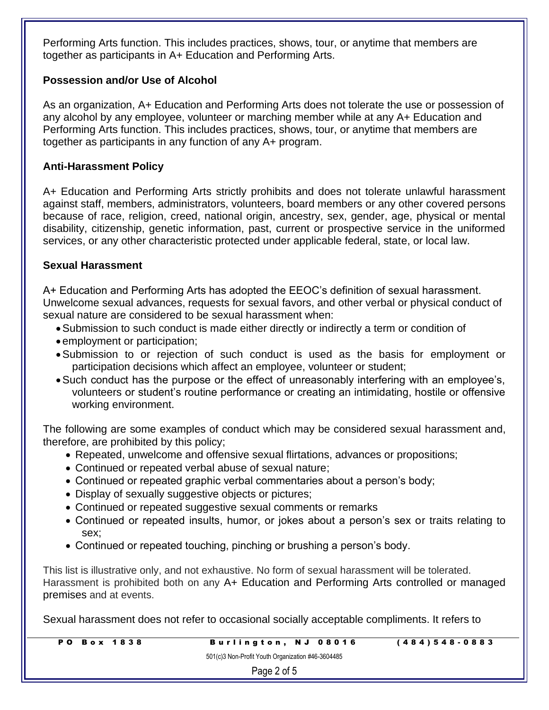Performing Arts function. This includes practices, shows, tour, or anytime that members are together as participants in A+ Education and Performing Arts.

### **Possession and/or Use of Alcohol**

As an organization, A+ Education and Performing Arts does not tolerate the use or possession of any alcohol by any employee, volunteer or marching member while at any A+ Education and Performing Arts function. This includes practices, shows, tour, or anytime that members are together as participants in any function of any A+ program.

### **Anti-Harassment Policy**

A+ Education and Performing Arts strictly prohibits and does not tolerate unlawful harassment against staff, members, administrators, volunteers, board members or any other covered persons because of race, religion, creed, national origin, ancestry, sex, gender, age, physical or mental disability, citizenship, genetic information, past, current or prospective service in the uniformed services, or any other characteristic protected under applicable federal, state, or local law.

### **Sexual Harassment**

A+ Education and Performing Arts has adopted the EEOC's definition of sexual harassment. Unwelcome sexual advances, requests for sexual favors, and other verbal or physical conduct of sexual nature are considered to be sexual harassment when:

- •Submission to such conduct is made either directly or indirectly a term or condition of
- employment or participation;
- •Submission to or rejection of such conduct is used as the basis for employment or participation decisions which affect an employee, volunteer or student;
- •Such conduct has the purpose or the effect of unreasonably interfering with an employee's, volunteers or student's routine performance or creating an intimidating, hostile or offensive working environment.

The following are some examples of conduct which may be considered sexual harassment and, therefore, are prohibited by this policy;

- Repeated, unwelcome and offensive sexual flirtations, advances or propositions;
- Continued or repeated verbal abuse of sexual nature;
- Continued or repeated graphic verbal commentaries about a person's body;
- Display of sexually suggestive objects or pictures;
- Continued or repeated suggestive sexual comments or remarks
- Continued or repeated insults, humor, or jokes about a person's sex or traits relating to sex;
- Continued or repeated touching, pinching or brushing a person's body.

This list is illustrative only, and not exhaustive. No form of sexual harassment will be tolerated. Harassment is prohibited both on any A+ Education and Performing Arts controlled or managed premises and at events.

Sexual harassment does not refer to occasional socially acceptable compliments. It refers to

| <b>PO Box 1838</b> | Burlington, NJ 08016                              | $(484)548 - 0883$ |
|--------------------|---------------------------------------------------|-------------------|
|                    | 501(c)3 Non-Profit Youth Organization #46-3604485 |                   |
|                    | Page 2 of 5                                       |                   |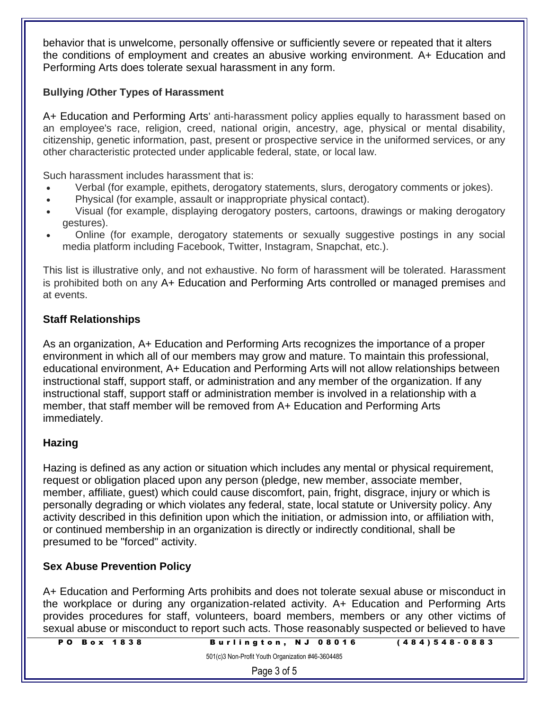behavior that is unwelcome, personally offensive or sufficiently severe or repeated that it alters the conditions of employment and creates an abusive working environment. A+ Education and Performing Arts does tolerate sexual harassment in any form.

### **Bullying /Other Types of Harassment**

A+ Education and Performing Arts' anti-harassment policy applies equally to harassment based on an employee's race, religion, creed, national origin, ancestry, age, physical or mental disability, citizenship, genetic information, past, present or prospective service in the uniformed services, or any other characteristic protected under applicable federal, state, or local law.

Such harassment includes harassment that is:

- Verbal (for example, epithets, derogatory statements, slurs, derogatory comments or jokes).
- Physical (for example, assault or inappropriate physical contact).
- Visual (for example, displaying derogatory posters, cartoons, drawings or making derogatory gestures).
- Online (for example, derogatory statements or sexually suggestive postings in any social media platform including Facebook, Twitter, Instagram, Snapchat, etc.).

This list is illustrative only, and not exhaustive. No form of harassment will be tolerated. Harassment is prohibited both on any A+ Education and Performing Arts controlled or managed premises and at events.

### **Staff Relationships**

As an organization, A+ Education and Performing Arts recognizes the importance of a proper environment in which all of our members may grow and mature. To maintain this professional, educational environment, A+ Education and Performing Arts will not allow relationships between instructional staff, support staff, or administration and any member of the organization. If any instructional staff, support staff or administration member is involved in a relationship with a member, that staff member will be removed from A+ Education and Performing Arts immediately.

# **Hazing**

Hazing is defined as any action or situation which includes any mental or physical requirement, request or obligation placed upon any person (pledge, new member, associate member, member, affiliate, guest) which could cause discomfort, pain, fright, disgrace, injury or which is personally degrading or which violates any federal, state, local statute or University policy. Any activity described in this definition upon which the initiation, or admission into, or affiliation with, or continued membership in an organization is directly or indirectly conditional, shall be presumed to be "forced" activity.

#### **Sex Abuse Prevention Policy**

A+ Education and Performing Arts prohibits and does not tolerate sexual abuse or misconduct in the workplace or during any organization-related activity. A+ Education and Performing Arts provides procedures for staff, volunteers, board members, members or any other victims of sexual abuse or misconduct to report such acts. Those reasonably suspected or believed to have

| <b>PO Box 1838</b> |
|--------------------|
|--------------------|

501(c)3 Non-Profit Youth Organization #46-3604485

Page 3 of 5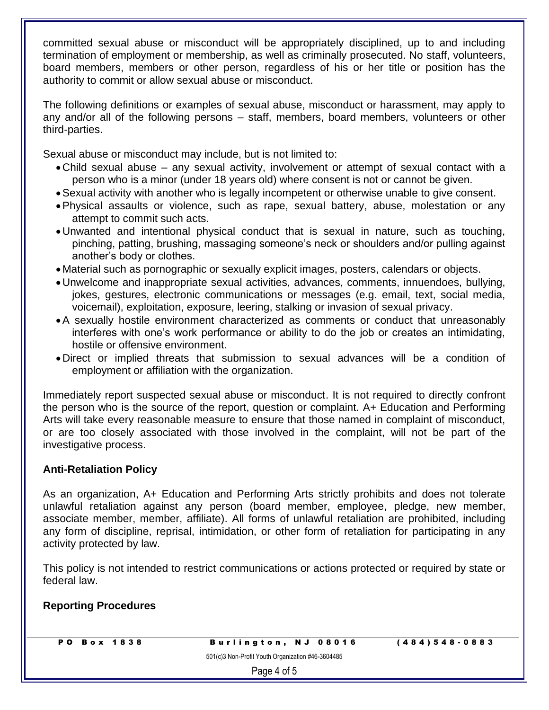committed sexual abuse or misconduct will be appropriately disciplined, up to and including termination of employment or membership, as well as criminally prosecuted. No staff, volunteers, board members, members or other person, regardless of his or her title or position has the authority to commit or allow sexual abuse or misconduct.

The following definitions or examples of sexual abuse, misconduct or harassment, may apply to any and/or all of the following persons – staff, members, board members, volunteers or other third-parties.

Sexual abuse or misconduct may include, but is not limited to:

- •Child sexual abuse any sexual activity, involvement or attempt of sexual contact with a person who is a minor (under 18 years old) where consent is not or cannot be given.
- •Sexual activity with another who is legally incompetent or otherwise unable to give consent.
- •Physical assaults or violence, such as rape, sexual battery, abuse, molestation or any attempt to commit such acts.
- •Unwanted and intentional physical conduct that is sexual in nature, such as touching, pinching, patting, brushing, massaging someone's neck or shoulders and/or pulling against another's body or clothes.
- Material such as pornographic or sexually explicit images, posters, calendars or objects.
- •Unwelcome and inappropriate sexual activities, advances, comments, innuendoes, bullying, jokes, gestures, electronic communications or messages (e.g. email, text, social media, voicemail), exploitation, exposure, leering, stalking or invasion of sexual privacy.
- •A sexually hostile environment characterized as comments or conduct that unreasonably interferes with one's work performance or ability to do the job or creates an intimidating, hostile or offensive environment.
- •Direct or implied threats that submission to sexual advances will be a condition of employment or affiliation with the organization.

Immediately report suspected sexual abuse or misconduct. It is not required to directly confront the person who is the source of the report, question or complaint. A+ Education and Performing Arts will take every reasonable measure to ensure that those named in complaint of misconduct, or are too closely associated with those involved in the complaint, will not be part of the investigative process.

# **Anti-Retaliation Policy**

As an organization, A+ Education and Performing Arts strictly prohibits and does not tolerate unlawful retaliation against any person (board member, employee, pledge, new member, associate member, member, affiliate). All forms of unlawful retaliation are prohibited, including any form of discipline, reprisal, intimidation, or other form of retaliation for participating in any activity protected by law.

This policy is not intended to restrict communications or actions protected or required by state or federal law.

# **Reporting Procedures**

P O B o x 1838 Burlington, NJ 08016 (484) 548-0883

501(c)3 Non-Profit Youth Organization #46-3604485

Page 4 of 5